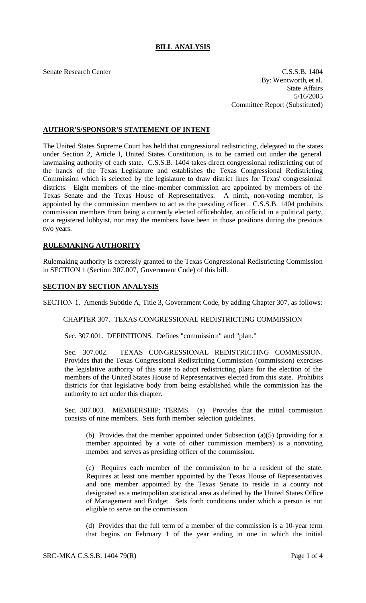# **BILL ANALYSIS**

Senate Research Center C.S.S.B. 1404 By: Wentworth, et al. State Affairs 5/16/2005 Committee Report (Substituted)

## **AUTHOR'S/SPONSOR'S STATEMENT OF INTENT**

The United States Supreme Court has held that congressional redistricting, delegated to the states under Section 2, Article I, United States Constitution, is to be carried out under the general lawmaking authority of each state. C.S.S.B. 1404 takes direct congressional redistricting out of the hands of the Texas Legislature and establishes the Texas Congressional Redistricting Commission which is selected by the legislature to draw district lines for Texas' congressional districts. Eight members of the nine-member commission are appointed by members of the Texas Senate and the Texas House of Representatives. A ninth, non-voting member, is appointed by the commission members to act as the presiding officer. C.S.S.B. 1404 prohibits commission members from being a currently elected officeholder, an official in a political party, or a registered lobbyist, nor may the members have been in those positions during the previous two years.

## **RULEMAKING AUTHORITY**

Rulemaking authority is expressly granted to the Texas Congressional Redistricting Commission in SECTION 1 (Section 307.007, Government Code) of this bill.

#### **SECTION BY SECTION ANALYSIS**

SECTION 1. Amends Subtitle A, Title 3, Government Code, by adding Chapter 307, as follows:

CHAPTER 307. TEXAS CONGRESSIONAL REDISTRICTING COMMISSION

Sec. 307.001. DEFINITIONS. Defines "commission" and "plan."

Sec. 307.002. TEXAS CONGRESSIONAL REDISTRICTING COMMISSION. Provides that the Texas Congressional Redistricting Commission (commission) exercises the legislative authority of this state to adopt redistricting plans for the election of the members of the United States House of Representatives elected from this state. Prohibits districts for that legislative body from being established while the commission has the authority to act under this chapter.

Sec. 307.003. MEMBERSHIP; TERMS. (a) Provides that the initial commission consists of nine members. Sets forth member selection guidelines.

(b) Provides that the member appointed under Subsection (a)(5) (providing for a member appointed by a vote of other commission members) is a nonvoting member and serves as presiding officer of the commission.

(c) Requires each member of the commission to be a resident of the state. Requires at least one member appointed by the Texas House of Representatives and one member appointed by the Texas Senate to reside in a county not designated as a metropolitan statistical area as defined by the United States Office of Management and Budget. Sets forth conditions under which a person is not eligible to serve on the commission.

(d) Provides that the full term of a member of the commission is a 10-year term that begins on February 1 of the year ending in one in which the initial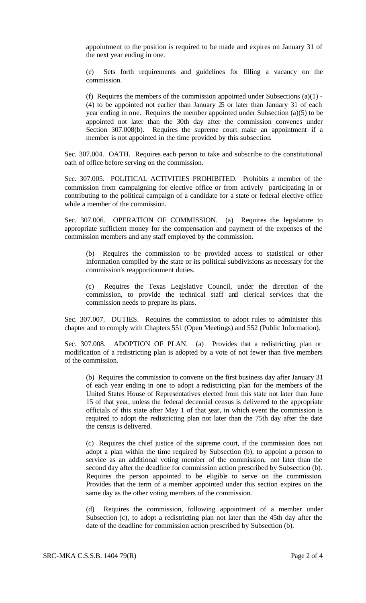appointment to the position is required to be made and expires on January 31 of the next year ending in one.

Sets forth requirements and guidelines for filling a vacancy on the commission.

(f) Requires the members of the commission appointed under Subsections  $(a)(1)$  -(4) to be appointed not earlier than January 25 or later than January 31 of each year ending in one. Requires the member appointed under Subsection (a)(5) to be appointed not later than the 30th day after the commission convenes under Section 307.008(b). Requires the supreme court make an appointment if a member is not appointed in the time provided by this subsection.

Sec. 307.004. OATH. Requires each person to take and subscribe to the constitutional oath of office before serving on the commission.

Sec. 307.005. POLITICAL ACTIVITIES PROHIBITED. Prohibits a member of the commission from campaigning for elective office or from actively participating in or contributing to the political campaign of a candidate for a state or federal elective office while a member of the commission.

Sec. 307.006. OPERATION OF COMMISSION. (a) Requires the legislature to appropriate sufficient money for the compensation and payment of the expenses of the commission members and any staff employed by the commission.

(b) Requires the commission to be provided access to statistical or other information compiled by the state or its political subdivisions as necessary for the commission's reapportionment duties.

(c) Requires the Texas Legislative Council, under the direction of the commission, to provide the technical staff and clerical services that the commission needs to prepare its plans.

Sec. 307.007. DUTIES. Requires the commission to adopt rules to administer this chapter and to comply with Chapters 551 (Open Meetings) and 552 (Public Information).

Sec. 307.008. ADOPTION OF PLAN. (a) Provides that a redistricting plan or modification of a redistricting plan is adopted by a vote of not fewer than five members of the commission.

(b) Requires the commission to convene on the first business day after January 31 of each year ending in one to adopt a redistricting plan for the members of the United States House of Representatives elected from this state not later than June 15 of that year, unless the federal decennial census is delivered to the appropriate officials of this state after May 1 of that year, in which event the commission is required to adopt the redistricting plan not later than the 75th day after the date the census is delivered.

(c) Requires the chief justice of the supreme court, if the commission does not adopt a plan within the time required by Subsection (b), to appoint a person to service as an additional voting member of the commission, not later than the second day after the deadline for commission action prescribed by Subsection (b). Requires the person appointed to be eligible to serve on the commission. Provides that the term of a member appointed under this section expires on the same day as the other voting members of the commission.

(d) Requires the commission, following appointment of a member under Subsection (c), to adopt a redistricting plan not later than the 45th day after the date of the deadline for commission action prescribed by Subsection (b).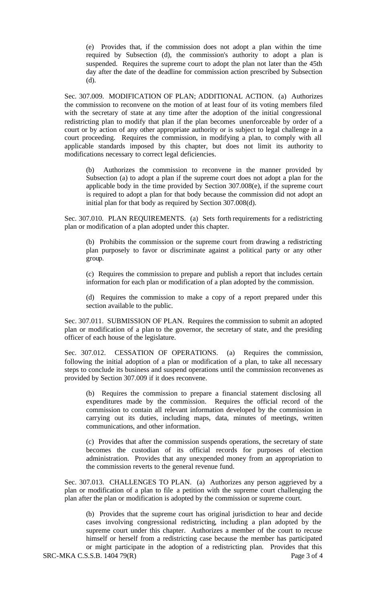(e) Provides that, if the commission does not adopt a plan within the time required by Subsection (d), the commission's authority to adopt a plan is suspended. Requires the supreme court to adopt the plan not later than the 45th day after the date of the deadline for commission action prescribed by Subsection (d).

Sec. 307.009. MODIFICATION OF PLAN; ADDITIONAL ACTION. (a) Authorizes the commission to reconvene on the motion of at least four of its voting members filed with the secretary of state at any time after the adoption of the initial congressional redistricting plan to modify that plan if the plan becomes unenforceable by order of a court or by action of any other appropriate authority or is subject to legal challenge in a court proceeding. Requires the commission, in modifying a plan, to comply with all applicable standards imposed by this chapter, but does not limit its authority to modifications necessary to correct legal deficiencies.

(b) Authorizes the commission to reconvene in the manner provided by Subsection (a) to adopt a plan if the supreme court does not adopt a plan for the applicable body in the time provided by Section 307.008(e), if the supreme court is required to adopt a plan for that body because the commission did not adopt an initial plan for that body as required by Section 307.008(d).

Sec. 307.010. PLAN REQUIREMENTS. (a) Sets forth requirements for a redistricting plan or modification of a plan adopted under this chapter.

(b) Prohibits the commission or the supreme court from drawing a redistricting plan purposely to favor or discriminate against a political party or any other group.

(c) Requires the commission to prepare and publish a report that includes certain information for each plan or modification of a plan adopted by the commission.

(d) Requires the commission to make a copy of a report prepared under this section available to the public.

Sec. 307.011. SUBMISSION OF PLAN. Requires the commission to submit an adopted plan or modification of a plan to the governor, the secretary of state, and the presiding officer of each house of the legislature.

Sec. 307.012. CESSATION OF OPERATIONS. (a) Requires the commission, following the initial adoption of a plan or modification of a plan, to take all necessary steps to conclude its business and suspend operations until the commission reconvenes as provided by Section 307.009 if it does reconvene.

(b) Requires the commission to prepare a financial statement disclosing all expenditures made by the commission. Requires the official record of the commission to contain all relevant information developed by the commission in carrying out its duties, including maps, data, minutes of meetings, written communications, and other information.

(c) Provides that after the commission suspends operations, the secretary of state becomes the custodian of its official records for purposes of election administration. Provides that any unexpended money from an appropriation to the commission reverts to the general revenue fund.

Sec. 307.013. CHALLENGES TO PLAN. (a) Authorizes any person aggrieved by a plan or modification of a plan to file a petition with the supreme court challenging the plan after the plan or modification is adopted by the commission or supreme court.

SRC-MKA C.S.S.B. 1404 79(R) Page 3 of 4 (b) Provides that the supreme court has original jurisdiction to hear and decide cases involving congressional redistricting, including a plan adopted by the supreme court under this chapter. Authorizes a member of the court to recuse himself or herself from a redistricting case because the member has participated or might participate in the adoption of a redistricting plan. Provides that this